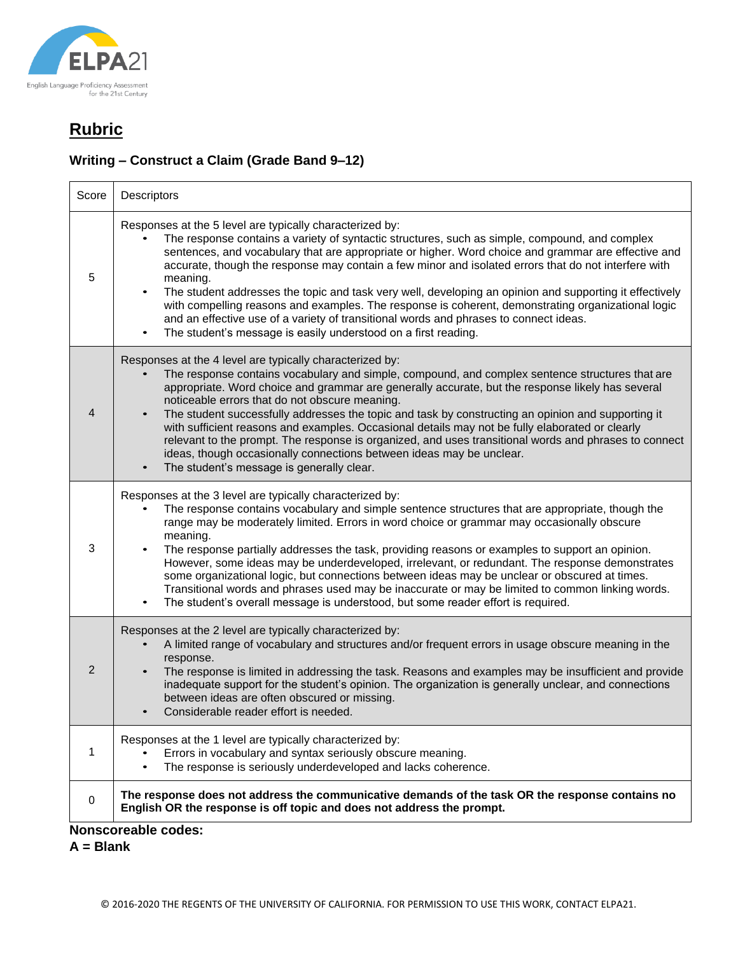

### **Writing – Construct a Claim (Grade Band 9–12)**

| Score                      | Descriptors                                                                                                                                                                                                                                                                                                                                                                                                                                                                                                                                                                                                                                                                                                                                                          |  |
|----------------------------|----------------------------------------------------------------------------------------------------------------------------------------------------------------------------------------------------------------------------------------------------------------------------------------------------------------------------------------------------------------------------------------------------------------------------------------------------------------------------------------------------------------------------------------------------------------------------------------------------------------------------------------------------------------------------------------------------------------------------------------------------------------------|--|
| 5                          | Responses at the 5 level are typically characterized by:<br>The response contains a variety of syntactic structures, such as simple, compound, and complex<br>sentences, and vocabulary that are appropriate or higher. Word choice and grammar are effective and<br>accurate, though the response may contain a few minor and isolated errors that do not interfere with<br>meaning.<br>The student addresses the topic and task very well, developing an opinion and supporting it effectively<br>with compelling reasons and examples. The response is coherent, demonstrating organizational logic<br>and an effective use of a variety of transitional words and phrases to connect ideas.<br>The student's message is easily understood on a first reading.    |  |
| 4                          | Responses at the 4 level are typically characterized by:<br>The response contains vocabulary and simple, compound, and complex sentence structures that are<br>appropriate. Word choice and grammar are generally accurate, but the response likely has several<br>noticeable errors that do not obscure meaning.<br>The student successfully addresses the topic and task by constructing an opinion and supporting it<br>with sufficient reasons and examples. Occasional details may not be fully elaborated or clearly<br>relevant to the prompt. The response is organized, and uses transitional words and phrases to connect<br>ideas, though occasionally connections between ideas may be unclear.<br>The student's message is generally clear.             |  |
| 3                          | Responses at the 3 level are typically characterized by:<br>The response contains vocabulary and simple sentence structures that are appropriate, though the<br>range may be moderately limited. Errors in word choice or grammar may occasionally obscure<br>meaning.<br>The response partially addresses the task, providing reasons or examples to support an opinion.<br>However, some ideas may be underdeveloped, irrelevant, or redundant. The response demonstrates<br>some organizational logic, but connections between ideas may be unclear or obscured at times.<br>Transitional words and phrases used may be inaccurate or may be limited to common linking words.<br>The student's overall message is understood, but some reader effort is required. |  |
| 2                          | Responses at the 2 level are typically characterized by:<br>A limited range of vocabulary and structures and/or frequent errors in usage obscure meaning in the<br>response.<br>The response is limited in addressing the task. Reasons and examples may be insufficient and provide<br>inadequate support for the student's opinion. The organization is generally unclear, and connections<br>between ideas are often obscured or missing.<br>Considerable reader effort is needed.                                                                                                                                                                                                                                                                                |  |
| 1                          | Responses at the 1 level are typically characterized by:<br>Errors in vocabulary and syntax seriously obscure meaning.<br>The response is seriously underdeveloped and lacks coherence.<br>$\bullet$                                                                                                                                                                                                                                                                                                                                                                                                                                                                                                                                                                 |  |
| 0                          | The response does not address the communicative demands of the task OR the response contains no<br>English OR the response is off topic and does not address the prompt.                                                                                                                                                                                                                                                                                                                                                                                                                                                                                                                                                                                             |  |
| <b>Nonscoreable codes:</b> |                                                                                                                                                                                                                                                                                                                                                                                                                                                                                                                                                                                                                                                                                                                                                                      |  |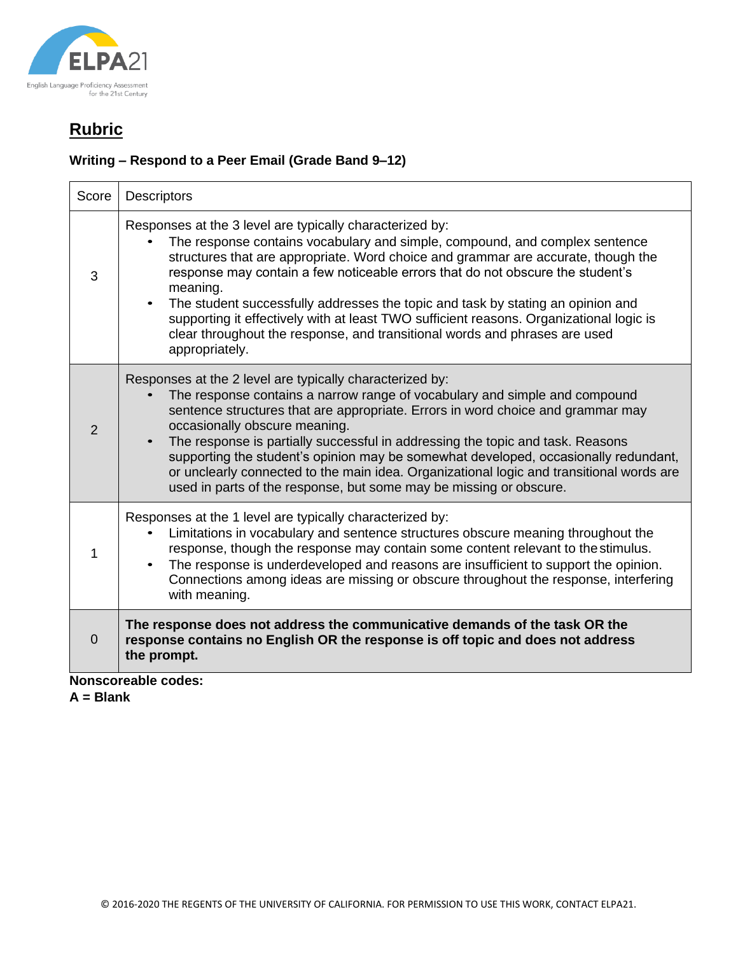

### **Writing – Respond to a Peer Email (Grade Band 9–12)**

| Responses at the 3 level are typically characterized by:<br>The response contains vocabulary and simple, compound, and complex sentence<br>structures that are appropriate. Word choice and grammar are accurate, though the<br>response may contain a few noticeable errors that do not obscure the student's<br>meaning.<br>The student successfully addresses the topic and task by stating an opinion and<br>supporting it effectively with at least TWO sufficient reasons. Organizational logic is<br>clear throughout the response, and transitional words and phrases are used<br>appropriately. |
|----------------------------------------------------------------------------------------------------------------------------------------------------------------------------------------------------------------------------------------------------------------------------------------------------------------------------------------------------------------------------------------------------------------------------------------------------------------------------------------------------------------------------------------------------------------------------------------------------------|
| Responses at the 2 level are typically characterized by:<br>The response contains a narrow range of vocabulary and simple and compound<br>sentence structures that are appropriate. Errors in word choice and grammar may<br>occasionally obscure meaning.<br>The response is partially successful in addressing the topic and task. Reasons<br>supporting the student's opinion may be somewhat developed, occasionally redundant,<br>or unclearly connected to the main idea. Organizational logic and transitional words are<br>used in parts of the response, but some may be missing or obscure.    |
| Responses at the 1 level are typically characterized by:<br>Limitations in vocabulary and sentence structures obscure meaning throughout the<br>response, though the response may contain some content relevant to the stimulus.<br>The response is underdeveloped and reasons are insufficient to support the opinion.<br>Connections among ideas are missing or obscure throughout the response, interfering<br>with meaning.                                                                                                                                                                          |
| The response does not address the communicative demands of the task OR the<br>response contains no English OR the response is off topic and does not address<br>the prompt.<br>Nanceoroghlo codoc:                                                                                                                                                                                                                                                                                                                                                                                                       |
|                                                                                                                                                                                                                                                                                                                                                                                                                                                                                                                                                                                                          |

**Nonscoreable codes:**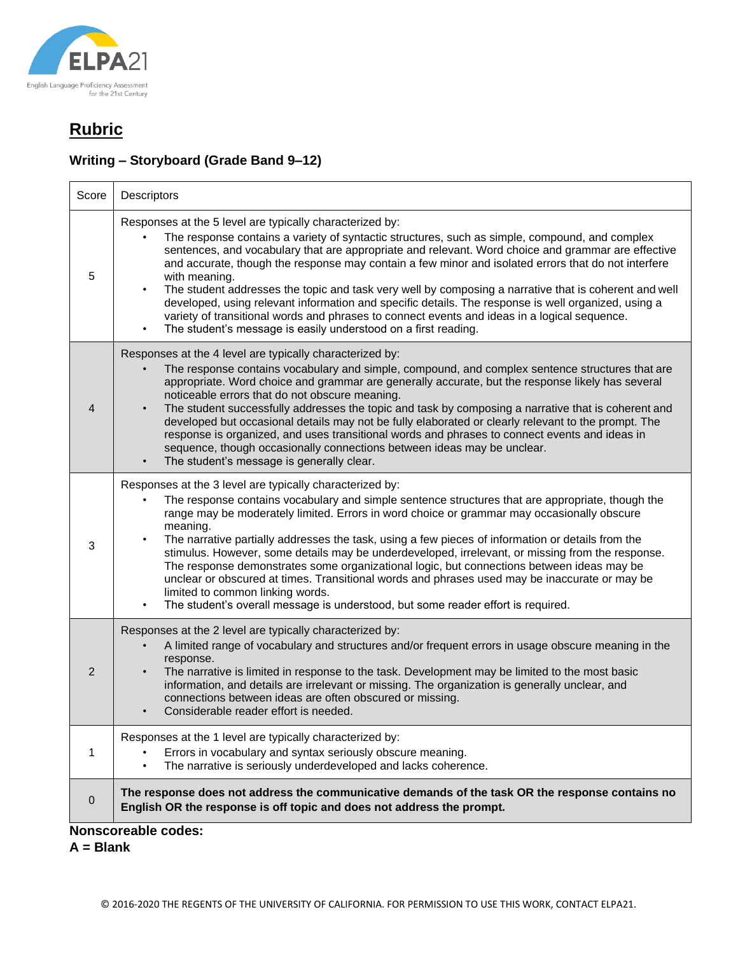

### **Writing – Storyboard (Grade Band 9–12)**

| Score                      | <b>Descriptors</b>                                                                                                                                                                                                                                                                                                                                                                                                                                                                                                                                                                                                                                                                                                                                                                                    |  |
|----------------------------|-------------------------------------------------------------------------------------------------------------------------------------------------------------------------------------------------------------------------------------------------------------------------------------------------------------------------------------------------------------------------------------------------------------------------------------------------------------------------------------------------------------------------------------------------------------------------------------------------------------------------------------------------------------------------------------------------------------------------------------------------------------------------------------------------------|--|
| 5                          | Responses at the 5 level are typically characterized by:<br>The response contains a variety of syntactic structures, such as simple, compound, and complex<br>sentences, and vocabulary that are appropriate and relevant. Word choice and grammar are effective<br>and accurate, though the response may contain a few minor and isolated errors that do not interfere<br>with meaning.<br>The student addresses the topic and task very well by composing a narrative that is coherent and well<br>$\bullet$<br>developed, using relevant information and specific details. The response is well organized, using a<br>variety of transitional words and phrases to connect events and ideas in a logical sequence.<br>The student's message is easily understood on a first reading.               |  |
| 4                          | Responses at the 4 level are typically characterized by:<br>The response contains vocabulary and simple, compound, and complex sentence structures that are<br>appropriate. Word choice and grammar are generally accurate, but the response likely has several<br>noticeable errors that do not obscure meaning.<br>The student successfully addresses the topic and task by composing a narrative that is coherent and<br>developed but occasional details may not be fully elaborated or clearly relevant to the prompt. The<br>response is organized, and uses transitional words and phrases to connect events and ideas in<br>sequence, though occasionally connections between ideas may be unclear.<br>The student's message is generally clear.                                              |  |
| 3                          | Responses at the 3 level are typically characterized by:<br>The response contains vocabulary and simple sentence structures that are appropriate, though the<br>range may be moderately limited. Errors in word choice or grammar may occasionally obscure<br>meaning.<br>The narrative partially addresses the task, using a few pieces of information or details from the<br>stimulus. However, some details may be underdeveloped, irrelevant, or missing from the response.<br>The response demonstrates some organizational logic, but connections between ideas may be<br>unclear or obscured at times. Transitional words and phrases used may be inaccurate or may be<br>limited to common linking words.<br>The student's overall message is understood, but some reader effort is required. |  |
| 2                          | Responses at the 2 level are typically characterized by:<br>A limited range of vocabulary and structures and/or frequent errors in usage obscure meaning in the<br>response.<br>The narrative is limited in response to the task. Development may be limited to the most basic<br>$\bullet$<br>information, and details are irrelevant or missing. The organization is generally unclear, and<br>connections between ideas are often obscured or missing.<br>Considerable reader effort is needed.                                                                                                                                                                                                                                                                                                    |  |
| 1                          | Responses at the 1 level are typically characterized by:<br>Errors in vocabulary and syntax seriously obscure meaning.<br>The narrative is seriously underdeveloped and lacks coherence.<br>$\bullet$                                                                                                                                                                                                                                                                                                                                                                                                                                                                                                                                                                                                 |  |
| $\mathbf 0$                | The response does not address the communicative demands of the task OR the response contains no<br>English OR the response is off topic and does not address the prompt.                                                                                                                                                                                                                                                                                                                                                                                                                                                                                                                                                                                                                              |  |
| <b>Nonscoreable codes:</b> |                                                                                                                                                                                                                                                                                                                                                                                                                                                                                                                                                                                                                                                                                                                                                                                                       |  |